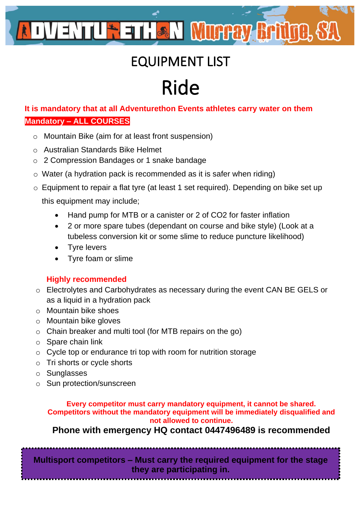# EQUIPMENT LIST

# Ride

**It is mandatory that at all Adventurethon Events athletes carry water on them Mandatory – ALL COURSES**

- o Mountain Bike (aim for at least front suspension)
- o Australian Standards Bike Helmet
- o 2 Compression Bandages or 1 snake bandage
- o Water (a hydration pack is recommended as it is safer when riding)
- o Equipment to repair a flat tyre (at least 1 set required). Depending on bike set up this equipment may include;
	- Hand pump for MTB or a canister or 2 of CO2 for faster inflation
	- 2 or more spare tubes (dependant on course and bike style) (Look at a tubeless conversion kit or some slime to reduce puncture likelihood)
	- Tyre levers
	- Tyre foam or slime

#### **Highly recommended**

- o Electrolytes and Carbohydrates as necessary during the event CAN BE GELS or as a liquid in a hydration pack
- o Mountain bike shoes
- o Mountain bike gloves
- o Chain breaker and multi tool (for MTB repairs on the go)
- $\circ$  Spare chain link
- o Cycle top or endurance tri top with room for nutrition storage
- o Tri shorts or cycle shorts
- o Sunglasses
- o Sun protection/sunscreen

#### **Every competitor must carry mandatory equipment, it cannot be shared. Competitors without the mandatory equipment will be immediately disqualified and not allowed to continue.**

**Phone with emergency HQ contact 0447496489 is recommended**

**Multisport competitors – Must carry the required equipment for the stage they are participating in.**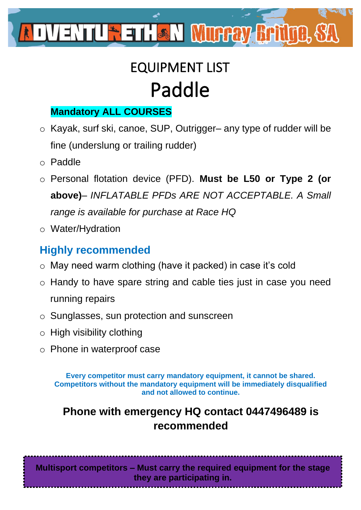

# EQUIPMENT LIST Paddle

### **Mandatory ALL COURSES**

- o Kayak, surf ski, canoe, SUP, Outrigger– any type of rudder will be fine (underslung or trailing rudder)
- o Paddle
- o Personal flotation device (PFD). **Must be L50 or Type 2 (or above)***– INFLATABLE PFDs ARE NOT ACCEPTABLE. A Small range is available for purchase at Race HQ*
- o Water/Hydration

### **Highly recommended**

- o May need warm clothing (have it packed) in case it's cold
- o Handy to have spare string and cable ties just in case you need running repairs
- o Sunglasses, sun protection and sunscreen
- o High visibility clothing
- o Phone in waterproof case

**Every competitor must carry mandatory equipment, it cannot be shared. Competitors without the mandatory equipment will be immediately disqualified and not allowed to continue.**

## **Phone with emergency HQ contact 0447496489 is recommended**

**Multisport competitors – Must carry the required equipment for the stage they are participating in.**